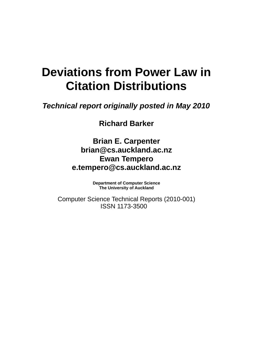# **Deviations from Power Law in Citation Distributions**

*Technical report originally posted in May 2010*

**Richard Barker**

**Brian E. Carpenter brian@cs.auckland.ac.nz Ewan Tempero e.tempero@cs.auckland.ac.nz**

> **Department of Computer Science The University of Auckland**

Computer Science Technical Reports (2010-001) ISSN 1173-3500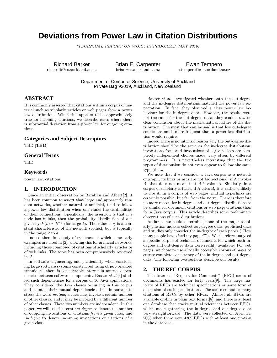# **Deviations from Power Law in Citation Distributions**

*(TECHNICAL REPORT ON WORK IN PROGRESS, MAY 2010)*

Richard Barker richardb@cs.auckland.ac.nz Brian E. Carpenter brian@cs.auckland.ac.nz

Ewan Tempero e.tempero@cs.auckland.ac.nz

Department of Computer Science, University of Auckland Private Bag 92019, Auckland, New Zealand

### **ABSTRACT**

It is commonly asserted that citations within a corpus of material such as scholarly articles or web pages show a power law distribution. While this appears to be approximately true for incoming citations, we describe cases where there is substantial deviation from a power law for outgoing citations.

#### **Categories and Subject Descriptors**

TBD [**TBD**]

#### **General Terms**

TBD

#### **Keywords**

power law, citations

#### **1. INTRODUCTION**

Since an initial observation by Barabási and Albert[2], it has been common to assert that large and apparently random networks, whether natural or artificial, tend to follow a power law distribution when one ranks the cardinalities of their connections. Specifically, the assertion is that if a node has *k* links, then the probability distribution of *k* is given by  $P(k) \sim k^{-\gamma}$  (for large *k*). The value of  $\gamma$  is a constant characteristic of the network studied, but is typically in the range 2 to 4.

Indeed there is a body of evidence, of which some early examples are cited in [2], showing this for artificial networks, including those composed of citations of scholarly articles or of web links. The topic has been comprehensively reviewed in [5].

In software engineering, and particularly when considering large software systems constructed using object-oriented techniques, there is considerable interest in mutual dependencies between software components. Baxter *et al.*[4] studied such dependencies for a corpus of 56 Java applications. They considered the Java classes occurring in this corpus and counted their mutual dependencies. It is important to stress the word *mutual*; a class may invoke a certain number of other classes, and it may be invoked by a different number of other classes. These two numbers are independent. In this paper, we will use the term *out-degree* to denote the number of outgoing invocations or citations *from* a given class, and *in-degree* to denote incoming invocations or citations *of* a given class

Baxter *et al.* investigated whether both the out-degree and the in-degree distributions matched the power law expectation. In fact, they observed a clear power law behaviour for the in-degree data. However, the results were not the same for the out-degree data; they could draw no clear conclusion about the mathematical nature of the distribution. The most that can be said is that low out-degree counts are much more frequent than a power law distribution would require.

Indeed there is no intrinsic reason why the out-degree distribution should be the same as the in-degree distribution; invocations from and invocations of a given class are completely independent choices made, very often, by different programmers. It is nevertheless interesting that the two types of distribution do not even appear to follow the same type of law.

We note that if we consider a Java corpus as a network or graph, its links or arcs are not bidirectional; if A invokes B, that does not mean that B invokes A. Similarly, in a corpus of scholarly articles, if A cites B, B is rather unlikely to cite A. In a corpus of web pages, mutual hyperlinks are certainly possible, but far from the norm. There is therefore no more reason for in-degree and out-degree distributions to be similar for document citations or web page citations than for a Java corpus. This article describes some preliminary observations of such distributions.

As far as we could determine, none of the major scholarly citation indexes collect out-degree data; published data and studies only consider the in-degree of each paper ("How many people have cited my paper?"). We therefore analysed a specific corpus of technical documents for which both indegree and out-degree data were readily available. For web pages, we chose to use a locally accessible corpus of pages to ensure complete consistency of the in-degree and out-degree data. The following two sections describe our results.

#### **2. THE RFC CORPUS**

The Internet "Request for Comments" (RFC) series of documents has existed for forty years[9]. The large majority of RFCs are technical specifications or some form of discussion of such specifications. The series embodies many citations of RFCs by other RFCs. Almost all RFCs are available on-line in plain text format[8], and there is at least one database that tracks mutual references between RFCs, which made gathering the in-degree and out-degree data very straightforward. The data were collected on April 15, 2008 when there were 4309 RFCs with at least one citation in the database.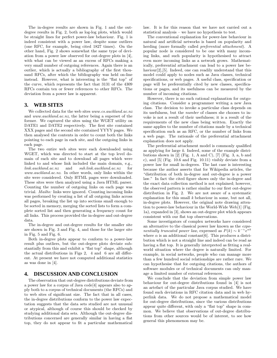The in-degree results are shown in Fig. 1 and the outdegree results in Fig. 2, both as log-log plots, which would be straight lines for perfect power-law behaviour. Fig. 1 is indeed consistent with a power law, despite some outliers (one RFC, for example, being cited 1827 times). On the other hand, Fig. 2 shows somewhat the same type of deviation from a power law observed for out-degree plots in [4], with what can be viewed as an excess of RFCs making a very small number of outgoing references. Again there is an outlier, which is actually a bibliography of the first thousand RFCs, after which the bibliography was held on-line instead. However, what is interesting is the "flat top" of the curve, which represents the fact that 3131 of the 4309 RFCs contain ten or fewer references to other RFCs. The deviation from a power law is apparent.

#### **3. WEB SITES**

We collected data for the web sites *www.cs.auckland.ac.nz* and *www.auckland.ac.nz*, the latter being a superset of the former. We captured the sites using the WGET utility on DATE1 and DATE2 respectively. The first site contained XXX pages and the second site contained YYYY pages. We then analysed the contents in order to count both the links pointing to each page in each site, and the outgoing links in each page.

The two entire web sites were each downloaded using WGET, which was directed to start at the top level domain of each site and to download all pages which were linked to and whose link included the main domain, e.g., *link.auckland.ac.nz* and *sub.link.auckland.ac.nz* for *www.auckland.ac.nz*. In other words, only links within the site were considered. Only HTML pages were downloaded. These sites were then analyzed using a Java HTML parser. Counting the number of outgoing links on each page was trivial. *Mailto:* links were ignored. Counting incoming links was performed by creating a list of all outgoing links across all pages, breaking the list up into sections small enough to be sorted in memory, merging the sorted lists to form a complete sorted list and then generating a frequency count for all links. This process provided the in-degree and out-degree data.

The in-degree and out-degree results for the smaller site are shown in Fig. 3 and Fig. 4, and those for the larger site in Fig. 5 and Fig. 6.

Both in-degree plots appear to conform to a power-law result plus outliers, but the out-degree plots deviate substantially from this and exhibit a "flat top" shape, although the actual distributions in Figs 2, 4 and 6 are all different. At present we have not computed additional statistics as was done in [4].

#### **4. DISCUSSION AND CONCLUSION**

The observation that out-degree distributions deviate from a power law for a corpus of Java code[4] appears also to apply both to a corpus of technical documents (the RFCs) and to web sites of significant size. The fact that in all cases, the in-degree distributions conform to the power law expectation suggests that the data sets studied are not unusual or atypical, although of course this should be checked by studying additional data sets. Although the out-degree distributions concerned are generally similar in having a flat top, they do not appear to fit a particular mathematical

law. It is for this reason that we have not carried out a statistical analysis – we have no hypothesis to test.

The conventional explanation for power-law behaviour in natural and artificial networks is based on popularity and herding (more formally called *preferential attachment*). A popular node is considered to be one with many incoming links, and such popularity is hypothesised to attract even more incoming links as a network grows. Mathematically, preferential attachment can lead to a power law behaviour<sup>[2]</sup>,<sup>[5]</sup>. Indeed, one can readily understand that this model could apply to nodes such as Java classes, technical specifications, or web pages. A useful class, specification or page will be preferentially cited by new classes, specifications or pages, and its usefulness can be measured by the number of incoming citations.

However, there is no such rational explanation for outgoing citations. Consider a programmer writing a new Java class. The decision to invoke a particular class depends on its usefulness, but the *number* of classes she chooses to invoke is not a result of their usefulness; it is a result of the requirements of the new class being written. Exactly the same applies to the number of citations made by a technical specification such as an RFC, or the number of links from a web page. The rationale of the preferential attachment explanation does not apply.

The preferential attachment model is commonly qualified as applying for large *k*. Indeed, some of the example distributions shown in  $[2]$  (Fig. 1, A and C),  $[7]$  (Fig. 3, a, b and c), and [5] (Fig. 10.6 and Fig. 10.11) visibly deviate from a power law for small in-degrees. The last case is interesting because the author asserts that for Wikipedia articles, the "distribution of both in-degree and out-degree is a power law." In fact the cited figure shows only the in-degree and the exact data collection method is not explained; however, the observed pattern is rather similar to our first out-degree distribution in Fig. 2. We are not aware of a systematic explanation for this small *k* behaviour in some, but not all, in-degree plots. However, the original note drawing attention to power-law behaviour in the World-Wide Web[1] (Fig. 1a), expanded in [3], shows an out-degree plot which appears consistent with our flat top observations.

Some investigators of complex networks have considered an alternative to the classical power law known as the *exponentially truncated power law*, expressed as  $P(k) \sim k^{-\gamma} e^{\alpha k}$ where  $\alpha$  is an additional constant [6]. This produces a distribution which is not a straight line and indeed can be read as having a flat top. It is generally interpreted as fitting a realworld situation where the degree is naturally limited. For example, in social networks, people who can manage more than a few hundred social relationships are rather rare. We can hypothesise that for outgoing citations, the authors of software modules or of technical documents can only manage a limited number of external references.

We conclude that the deviation from simple power law behaviour for out-degree distributions found in [4] is not an artefact of the particular Java corpus studied. We have found such deviations in RFC citation data and in web hyperlink data. We do not propose a mathematical model for out-degree distributions, since the various distributions appear quite different, with only a "flat top" shape in common. We believe that observations of out-degree distributions from other sources would be of interest, to see how general this phenomenon may be.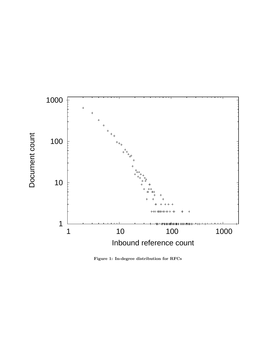

**Figure 1: In-degree distribution for RFCs**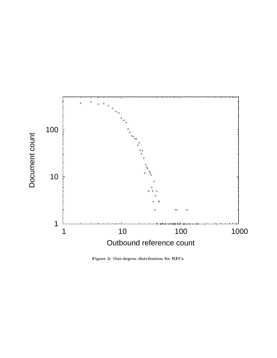

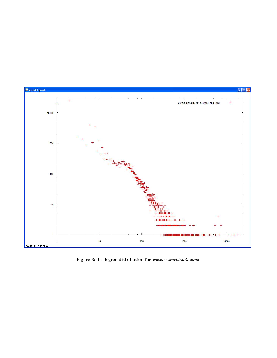

**Figure 3: In-degree distribution for** *www.cs.auckland.ac.nz*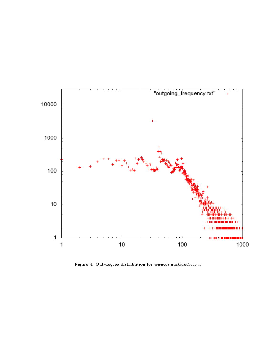

**Figure 4: Out-degree distribution for** *www.cs.auckland.ac.nz*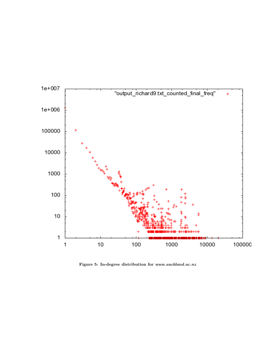

**Figure 5: In-degree distribution for** *www.auckland.ac.nz*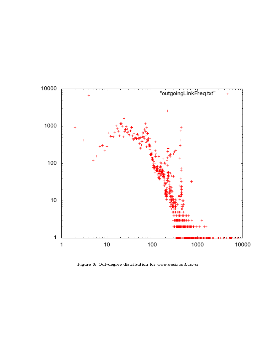

**Figure 6: Out-degree distribution for** *www.auckland.ac.nz*